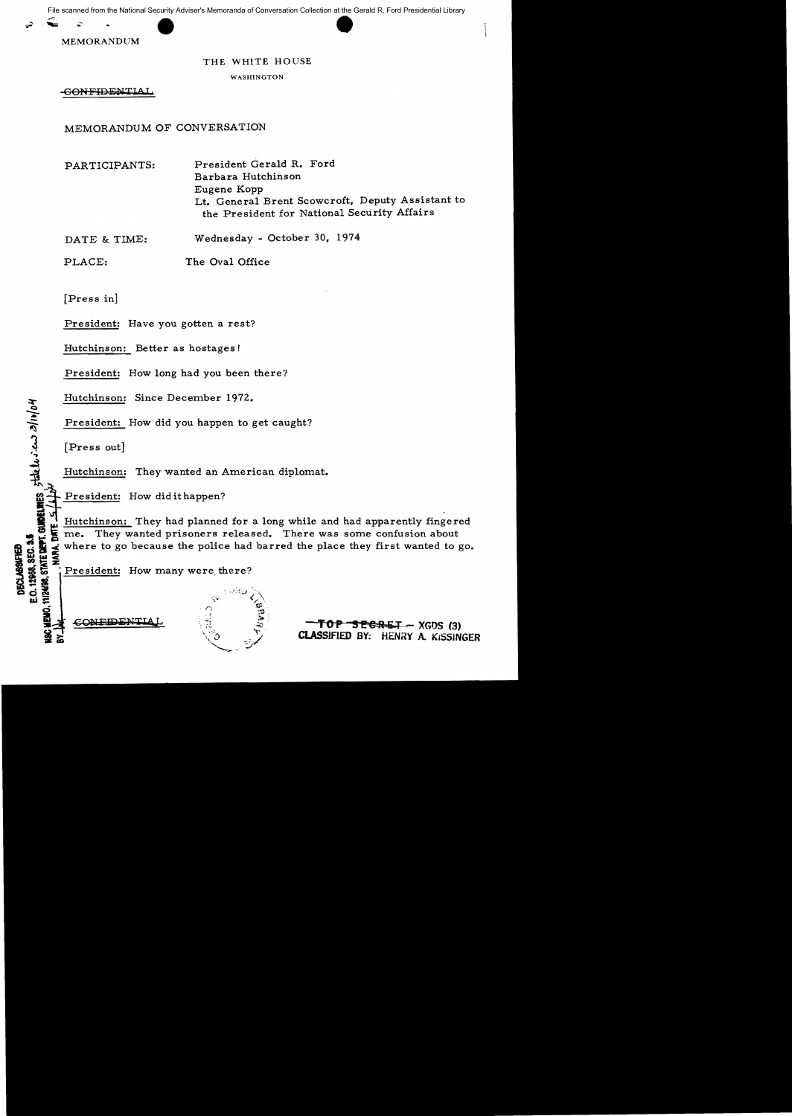File scanned from the National Security Adviser's Memoranda of Conversation Collection at the Gerald R. Ford Presidential Library



## THE WHITE HOUSE

WASHINGTON

CONFIDENTIAI

MEMORANDUM OF CONVERSATION

PARTICIPANTS: President Gerald R. Ford Barbara Hutchinson Eugene Kopp Lt. General Brent Scowcroft, Deputy Assistant to the President for National Security Affairs

DATE & TIME: Wednesday - October 30, 1974

PLACE: The Oval Office

[Press in]

President: Have you gotten a rest?

Hutchinson: Better as hostages!

President: How long had you been there?

Hutchinson: Since December 1972.

President: How did you happen to get caught?

 $\int_{\mathbf{e}}$ 

';.

**DECLASSIFIED** 

11/24/98, STATE DEPT.

斋

 $\frac{3}{2}$  [Press out]<br> $\frac{3}{2}$  Hutchinson Hutchinson: They wanted an American diplomat.

Hutchinson: They wanted an American diplomat.<br> **ii** President: How did it happen?<br> **ii** Hutchinson: They had planned for a long while and had apparently fingered  $\begin{array}{c}\n\bullet \\
\bullet \\
\bullet \\
\bullet \\
\bullet \\
\bullet \\
\bullet \\
\bullet \\
\bullet \\
\bullet \\
\bullet \\
\bullet \\
\bullet\n\end{array}$ 1. S me. They wanted prisoners released. There was some confusion about<br>  $\frac{1}{2}$  where to go because the police had barred the place they first wanted to go.<br>  $\frac{1}{2}$ <br>  $\frac{1}{2}$ <br>  $\frac{1}{2}$ <br>  $\frac{1}{2}$ <br>  $\frac{1}{2}$ <br>  $\frac{1}{$ 



 $conformal$   $\hat{z}$  **-TOP SEGRET** - XGDS (3)</u> CLASSIFIED BY: HENRY A. KISSINGER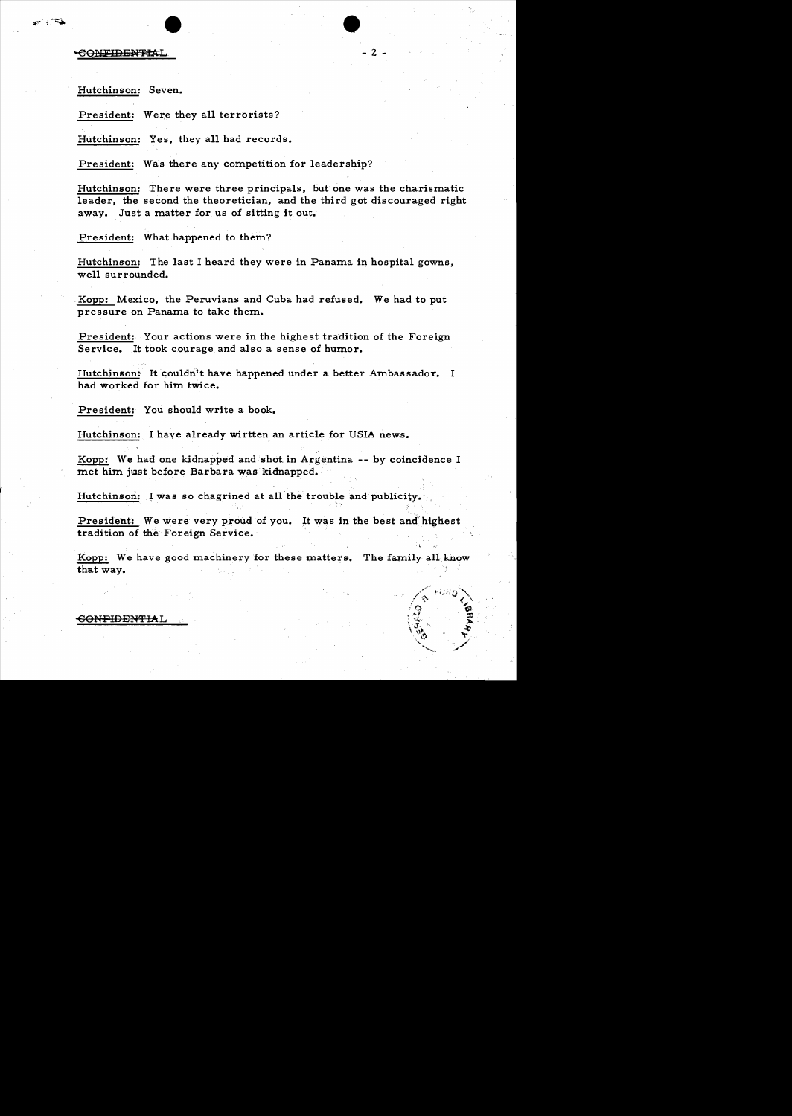**CONFIDENTIAL** 

್್

Hutchinson: Seven.

President: Were they all terrorists?

Hutchinson: Yes, they all had records.

President: Was there any competition for leadership?

Hutchinson: There were three principals, but one was the charismatic leader, the second the theoretician, and the third got discouraged right away. Just a matter for us of sitting it out.

 $\bullet$ 

 $-2 -$ 

President: What happened to them?

Hutchinson: The last I heard they were in Panama in hospital gowns, well surrounded.

. Kopp: Mexico, the Peruvians and Cuba had refused. We had to put pressure on Panama to take them.

President: Your actions were in the highest tradition of the Foreign Service. It took courage and also a sense of humor.

Hutchinson: It couldn't have happened under a better Ambassador. I had worked for him twice.

President: You should write a book.

Hutchinson: I have already wirtten an article for USIA news.

. . Kopp: We had one kidnapped and shot in Argentina -- by coincidence I met him just before Barbara was kidnapped.

Hutchinson: I was so chagrined at all the trouble and publicity.

President: We were very proud of you. It was in the best and highest tradition of the Foreign Service.

J"

Kopp: We have good machinery for these matters. The family all know that way. .

## -CONFmEN'f'fAL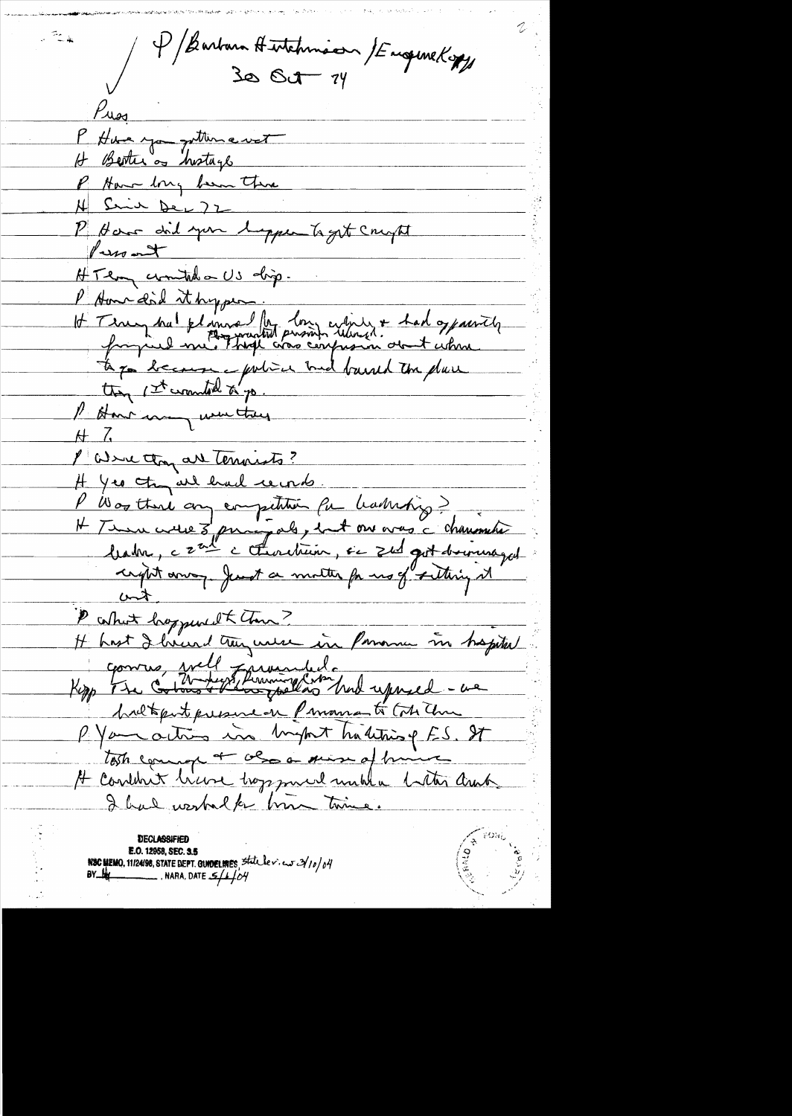P/Barbara Hutchman /EugeneKopy  $P_{\text{max}}$ P Hung you getting wet H Berter of historyl P Have long been there H Suin Der 72 P Have did you lopper to get compte Purs out HTem commitation US dip. P Aven did it hyper.<br>It Truy hat planned for long cybings + had opparently to go because your med barred to dare I start may use they  $H$   $\Lambda$ Paracton are terraints? H yes try all had records. V Was there any competition for hadring? H Tenu cette 3 principale, ent one vous à chanometre crypt anony Just a motter for us of setting it <u>unt</u> P colhot happened to Them? It hast I heard they were in Pomomen in hapited commes well fremmented.<br>Kopp The Cotons them follows was had upred - as haltput presence Provincent Con Um P. Your actions in Inghat hubiting ES. St tosts comment of also a suise of himse H content him troppment until a titre and I had worked for him time. ୁ ଜ**ଠ**ନ୍

**E.O. 12958, SEC. 3.5** NSC MEMO, 11/24/98, STATE DEPT. GUNDELINES, State lev. eur  $2/10/04$ NARA, DATE  $5/1/04$ **BY\_LE**